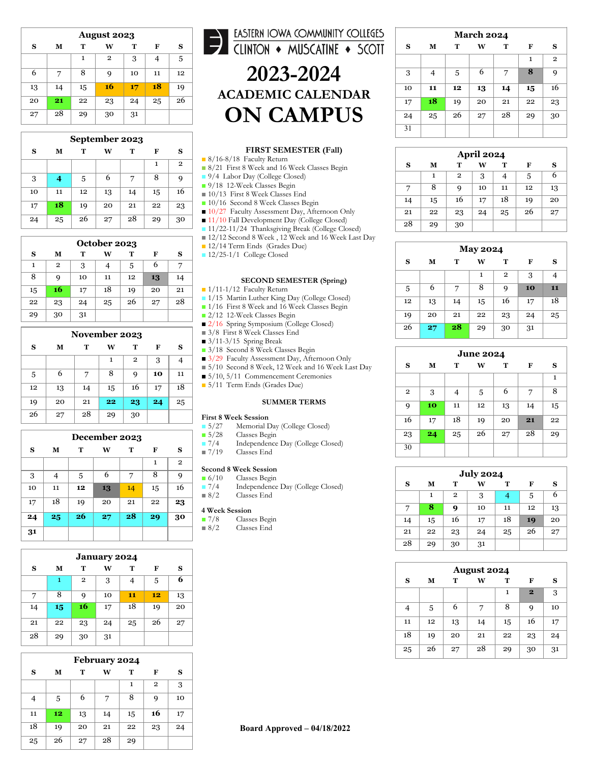| <b>August 2023</b> |    |    |                |    |    |    |  |  |
|--------------------|----|----|----------------|----|----|----|--|--|
| S                  | М  | т  | W              | т  | F  | S  |  |  |
|                    |    | 1  | $\overline{2}$ | 3  |    | 5  |  |  |
| 6                  | 7  | 8  | 9              | 10 | 11 | 12 |  |  |
| 13                 | 14 | 15 | 16             | 17 | 18 | 19 |  |  |
| 20                 | 21 | 22 | 23             | 24 | 25 | 26 |  |  |
| 27                 | 28 | 29 | 30             | 31 |    |    |  |  |

| September 2023             |    |    |    |    |    |              |  |  |
|----------------------------|----|----|----|----|----|--------------|--|--|
| S<br>М<br>т<br>W<br>т<br>F |    |    |    |    |    |              |  |  |
|                            |    |    |    |    | 1  | $\mathbf{2}$ |  |  |
| 3                          | 4  | 5  | 6  | 7  | 8  | 9            |  |  |
| 10                         | 11 | 12 | 13 | 14 | 15 | 16           |  |  |
| 17                         | 18 | 19 | 20 | 21 | 22 | 23           |  |  |
| 24                         | 25 | 26 | 27 | 28 | 29 | 30           |  |  |

| October 2023 |              |    |    |    |    |    |  |  |
|--------------|--------------|----|----|----|----|----|--|--|
| S            | М            | т  | w  | т  | F  | s  |  |  |
| 1            | $\mathbf{2}$ | 3  | 4  | 5  | 6  |    |  |  |
| 8            | 9            | 10 | 11 | 12 | 13 | 14 |  |  |
| 15           | 16           | 17 | 18 | 19 | 20 | 21 |  |  |
| 22           | 23           | 24 | 25 | 26 | 27 | 28 |  |  |
| 29           | 30           | 31 |    |    |    |    |  |  |

| November 2023 |    |    |    |              |    |    |  |  |
|---------------|----|----|----|--------------|----|----|--|--|
| S             | М  | т  | w  | т            | F  | s  |  |  |
|               |    |    | 1  | $\mathbf{2}$ | 3  | 4  |  |  |
| 5             | 6  | 7  | 8  | 9            | 10 | 11 |  |  |
| 12            | 13 | 14 | 15 | 16           | 17 | 18 |  |  |
| 19            | 20 | 21 | 22 | 23           | 24 | 25 |  |  |
| 26            | 27 | 28 | 29 | 30           |    |    |  |  |

| December 2023 |    |    |    |    |              |              |  |  |
|---------------|----|----|----|----|--------------|--------------|--|--|
| S             | М  | T  | W  | T  | F            | S            |  |  |
|               |    |    |    |    | $\mathbf{1}$ | $\mathbf{2}$ |  |  |
| 3             | 4  | 5  | 6  | 7  | 8            | 9            |  |  |
| 10            | 11 | 12 | 13 | 14 | 15           | 16           |  |  |
| 17            | 18 | 19 | 20 | 21 | 22           | 23           |  |  |
| 24            | 25 | 26 | 27 | 28 | 29           | 30           |  |  |
| 31            |    |    |    |    |              |              |  |  |

| <b>January 2024</b> |    |              |    |    |    |    |  |  |
|---------------------|----|--------------|----|----|----|----|--|--|
| S                   | М  | т            | W  | т  | F  | s  |  |  |
|                     | 1  | $\mathbf{2}$ | 3  | 4  | 5  | 6  |  |  |
| 7                   | 8  | 9            | 10 | 11 | 12 | 13 |  |  |
| 14                  | 15 | 16           | 17 | 18 | 19 | 20 |  |  |
| 21                  | 22 | 23           | 24 | 25 | 26 | 27 |  |  |
| 28                  | 29 | 30           | 31 |    |    |    |  |  |

| February 2024 |    |    |    |    |              |    |  |  |
|---------------|----|----|----|----|--------------|----|--|--|
| S             | м  | т  | w  | т  | F            | s  |  |  |
|               |    |    |    | 1  | $\mathbf{2}$ | 3  |  |  |
| 4             | 5  | 6  | 7  | 8  | 9            | 10 |  |  |
| 11            | 12 | 13 | 14 | 15 | 16           | 17 |  |  |
| 18            | 19 | 20 | 21 | 22 | 23           | 24 |  |  |
| 25            | 26 | 27 | 28 | 29 |              |    |  |  |

# EASTERN IOWA COMMUNITY COLLEGES **2023 -2024**

## **ACADEMIC CALENDAR ON CAMPUS**

### **FIRST SEMESTER (Fall)**

■ 8/16-8/18 Faculty Return

- 8/21 First 8 Week and 16 Week Classes Begin
- 9/4 Labor Day (College Closed)
- 9/18 12-Week Classes Begin
- 10/13 First 8 Week Classes End
- 10/16 Second 8 Week Classes Begin
- 10/27 Faculty Assessment Day, Afternoon Only
- 11/10 Fall Development Day (College Closed)
- 11/22-11/24 Thanksgiving Break (College Closed)
- 12/12 Second 8 Week, 12 Week and 16 Week Last Day
- 12/14 Term Ends (Grades Due)
- 12/25-1/1 College Closed

#### **SECOND SEMESTER (Spring)**

■ 1/11-1/12 Faculty Return

- 1/15 Martin Luther King Day (College Closed)
- 1/16 First 8 Week and 16 Week Classes Begin
- 2/12 12-Week Classes Begin
- 2/16 Spring Symposium (College Closed)
- 3/8 First 8 Week Classes End
- $\overline{3}/11-3/15$  Spring Break
- 3/18 Second 8 Week Classes Begin
- 3/29 Faculty Assessment Day, Afternoon Only
- 5/10 Second 8 Week, 12 Week and 16 Week Last Day
- 5/10, 5/11 Commencement Ceremonies
- 5/11 Term Ends (Grades Due)

#### **SUMMER TERMS**

- **First 8 Week Session**<br>**B**  $\frac{5}{27}$  Memorial I ■ 5/27 Memorial Day (College Closed)<br>■ 5/28 Classes Begin
	-
- 5/28 Classes Begin<br>■ 7/4 Independence Independence Day (College Closed)
- 7/19 Classes End

## **Second 8 Week Session**<br>**6/10** Classes Begin

- 6/10 Classes Begin<br>■ 7/4 Independence
- Independence Day (College Closed) ■ 8/2 Classes End

- **4 Week Session** Classes Begin
- 8/2 Classes End

| <b>March 2024</b> |    |    |    |    |              |                |  |  |
|-------------------|----|----|----|----|--------------|----------------|--|--|
| S                 | М  | T  | W  | т  | F            | S              |  |  |
|                   |    |    |    |    | $\mathbf{1}$ | $\overline{2}$ |  |  |
| 3                 | 4  | 5  | 6  | 7  | 8            | 9              |  |  |
| 10                | 11 | 12 | 13 | 14 | 15           | 16             |  |  |
| 17                | 18 | 19 | 20 | 21 | 22           | 23             |  |  |
| 24                | 25 | 26 | 27 | 28 | 29           | 30             |  |  |
| 31                |    |    |    |    |              |                |  |  |

| <b>April 2024</b> |                       |              |    |    |    |    |  |  |
|-------------------|-----------------------|--------------|----|----|----|----|--|--|
| S                 | т<br>т<br>м<br>W<br>F |              |    |    |    |    |  |  |
|                   | 1                     | $\mathbf{2}$ | 3  |    | 5  | 6  |  |  |
|                   | 8                     | 9            | 10 | 11 | 12 | 13 |  |  |
| 14                | 15                    | 16           | 17 | 18 | 19 | 20 |  |  |
| 21                | 22                    | 23           | 24 | 25 | 26 | 27 |  |  |
| 28                | 29                    | 30           |    |    |    |    |  |  |

| <b>May 2024</b> |    |    |    |              |    |    |  |  |  |
|-----------------|----|----|----|--------------|----|----|--|--|--|
| S               | М  | т  | W  | т            | F  | s  |  |  |  |
|                 |    |    | 1  | $\mathbf{2}$ | 3  | 4  |  |  |  |
| 5               | 6  | 7  | 8  | 9            | 10 | 11 |  |  |  |
| 12              | 13 | 14 | 15 | 16           | 17 | 18 |  |  |  |
| 19              | 20 | 21 | 22 | 23           | 24 | 25 |  |  |  |
| 26              | 27 | 28 | 29 | 30           | 31 |    |  |  |  |

| <b>June 2024</b> |    |    |    |    |    |    |  |  |  |
|------------------|----|----|----|----|----|----|--|--|--|
| S                | М  | T  | W  | т  | F  | s  |  |  |  |
|                  |    |    |    |    |    | 1  |  |  |  |
| $\mathbf{2}$     | 3  | 4  | 5  | 6  | 7  | 8  |  |  |  |
| 9                | 10 | 11 | 12 | 13 | 14 | 15 |  |  |  |
| 16               | 17 | 18 | 19 | 20 | 21 | 22 |  |  |  |
| 23               | 24 | 25 | 26 | 27 | 28 | 29 |  |  |  |
| 30               |    |    |    |    |    |    |  |  |  |

| <b>July 2024</b> |    |                |    |    |    |    |  |  |  |
|------------------|----|----------------|----|----|----|----|--|--|--|
| S                | М  | т              | W  | т  | F  | S  |  |  |  |
|                  | 1  | $\overline{2}$ | 3  | 4  | 5  | 6  |  |  |  |
| 7                | 8  | 9              | 10 | 11 | 12 | 13 |  |  |  |
| 14               | 15 | 16             | 17 | 18 | 19 | 20 |  |  |  |
| 21               | 22 | 23             | 24 | 25 | 26 | 27 |  |  |  |
| 28               | 29 | 30             | 31 |    |    |    |  |  |  |

| <b>August 2024</b> |    |    |    |    |                |    |  |  |  |
|--------------------|----|----|----|----|----------------|----|--|--|--|
| S                  | М  | т  | w  | т  | F              | s  |  |  |  |
|                    |    |    |    | 1  | $\overline{2}$ | 3  |  |  |  |
| 4                  | 5  | 6  | 7  | 8  | 9              | 10 |  |  |  |
| 11                 | 12 | 13 | 14 | 15 | 16             | 17 |  |  |  |
| 18                 | 19 | 20 | 21 | 22 | 23             | 24 |  |  |  |
| 25                 | 26 | 27 | 28 | 29 | 30             | 31 |  |  |  |